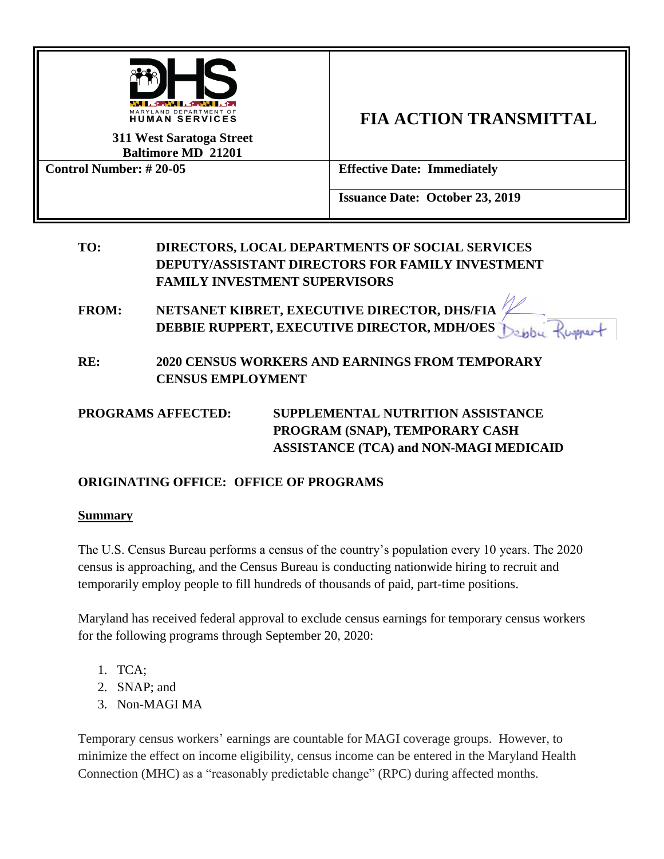

**311 West Saratoga Street Baltimore MD 21201**

# **FIA ACTION TRANSMITTAL**

**Control Number: # 20-05 Effective Date: Immediately**

**Issuance Date: October 23, 2019**

# **TO: DIRECTORS, LOCAL DEPARTMENTS OF SOCIAL SERVICES DEPUTY/ASSISTANT DIRECTORS FOR FAMILY INVESTMENT FAMILY INVESTMENT SUPERVISORS**

**FROM: NETSANET KIBRET, EXECUTIVE DIRECTOR, DHS/FIA DEBBIE RUPPERT, EXECUTIVE DIRECTOR, MDH/OES**

**RE: 2020 CENSUS WORKERS AND EARNINGS FROM TEMPORARY CENSUS EMPLOYMENT** 

# **PROGRAMS AFFECTED: SUPPLEMENTAL NUTRITION ASSISTANCE PROGRAM (SNAP), TEMPORARY CASH ASSISTANCE (TCA) and NON-MAGI MEDICAID**

# **ORIGINATING OFFICE: OFFICE OF PROGRAMS**

## **Summary**

The U.S. Census Bureau performs a census of the country's population every 10 years. The 2020 census is approaching, and the Census Bureau is conducting nationwide hiring to recruit and temporarily employ people to fill hundreds of thousands of paid, part-time positions.

Maryland has received federal approval to exclude census earnings for temporary census workers for the following programs through September 20, 2020:

- 1. TCA;
- 2. SNAP; and
- 3. Non-MAGI MA

Temporary census workers' earnings are countable for MAGI coverage groups. However, to minimize the effect on income eligibility, census income can be entered in the Maryland Health Connection (MHC) as a "reasonably predictable change" (RPC) during affected months.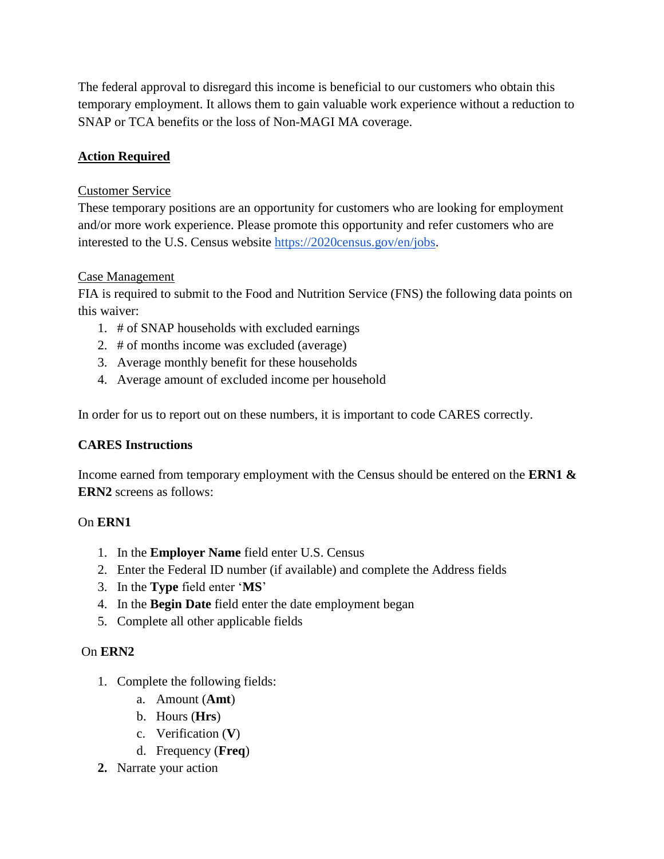The federal approval to disregard this income is beneficial to our customers who obtain this temporary employment. It allows them to gain valuable work experience without a reduction to SNAP or TCA benefits or the loss of Non-MAGI MA coverage.

# **Action Required**

#### Customer Service

These temporary positions are an opportunity for customers who are looking for employment and/or more work experience. Please promote this opportunity and refer customers who are interested to the U.S. Census website [https://2020census.gov/en/jobs.](https://2020census.gov/en/jobs)

#### Case Management

FIA is required to submit to the Food and Nutrition Service (FNS) the following data points on this waiver:

- 1. # of SNAP households with excluded earnings
- 2. # of months income was excluded (average)
- 3. Average monthly benefit for these households
- 4. Average amount of excluded income per household

In order for us to report out on these numbers, it is important to code CARES correctly.

## **CARES Instructions**

Income earned from temporary employment with the Census should be entered on the **ERN1 & ERN2** screens as follows:

## On **ERN1**

- 1. In the **Employer Name** field enter U.S. Census
- 2. Enter the Federal ID number (if available) and complete the Address fields
- 3. In the **Type** field enter '**MS**'
- 4. In the **Begin Date** field enter the date employment began
- 5. Complete all other applicable fields

## On **ERN2**

- 1. Complete the following fields:
	- a. Amount (**Amt**)
	- b. Hours (**Hrs**)
	- c. Verification (**V**)
	- d. Frequency (**Freq**)
- **2.** Narrate your action